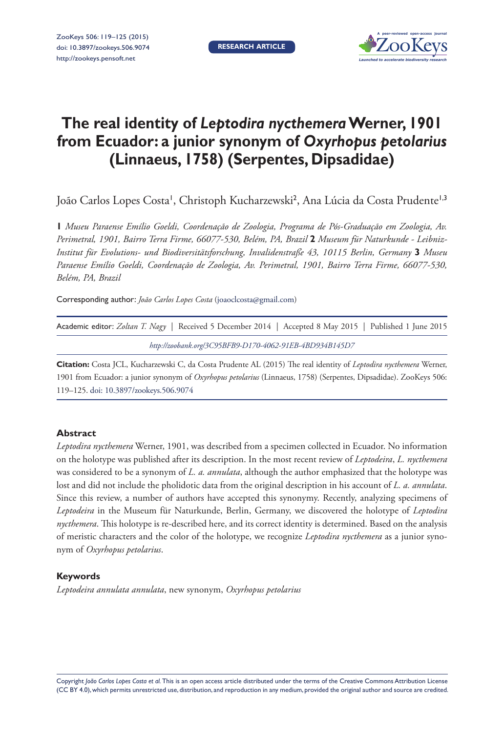**RESEARCH ARTICLE**



# **The real identity of** *Leptodira nycthemera* **Werner, 1901 from Ecuador: a junior synonym of** *Oxyrhopus petolarius*  **(Linnaeus, 1758) (Serpentes, Dipsadidae)**

João Carlos Lopes Costa', Christoph Kucharzewski<sup>2</sup>, Ana Lúcia da Costa Prudente<sup>1,3</sup>

**1** *Museu Paraense Emílio Goeldi, Coordenação de Zoologia, Programa de Pós-Graduação em Zoologia, Av. Perimetral, 1901, Bairro Terra Firme, 66077-530, Belém, PA, Brazil* **2** *Museum für Naturkunde - Leibniz-Institut für Evolutions- und Biodiversitätsforschung, Invalidenstraße 43, 10115 Berlin, Germany* **3** *Museu Paraense Emílio Goeldi, Coordenação de Zoologia, Av. Perimetral, 1901, Bairro Terra Firme, 66077-530, Belém, PA, Brazil*

Corresponding author: *João Carlos Lopes Costa* ([joaoclcosta@gmail.com](mailto:joaoclcosta@gmail.com))

| Academic editor: Zoltan T. Nagy   Received 5 December 2014   Accepted 8 May 2015   Published 1 June 2015 |  |  |  |  |  |  |
|----------------------------------------------------------------------------------------------------------|--|--|--|--|--|--|
| http://zoobank.org/3C95BFB9-D170-4062-91EB-4BD934B145D7                                                  |  |  |  |  |  |  |

**Citation:** Costa JCL, Kucharzewski C, da Costa Prudente AL (2015) The real identity of *Leptodira nycthemera* Werner, 1901 from Ecuador: a junior synonym of *Oxyrhopus petolarius* (Linnaeus, 1758) (Serpentes, Dipsadidae). ZooKeys 506: 119–125. [doi: 10.3897/zookeys.506.9074](http://dx.doi.org/10.3897/zookeys.506.9074)

# **Abstract**

*Leptodira nycthemera* Werner, 1901, was described from a specimen collected in Ecuador. No information on the holotype was published after its description. In the most recent review of *Leptodeira*, *L. nycthemera* was considered to be a synonym of *L. a. annulata*, although the author emphasized that the holotype was lost and did not include the pholidotic data from the original description in his account of *L. a. annulata*. Since this review, a number of authors have accepted this synonymy. Recently, analyzing specimens of *Leptodeira* in the Museum für Naturkunde, Berlin, Germany, we discovered the holotype of *Leptodira nycthemera*. This holotype is re-described here, and its correct identity is determined. Based on the analysis of meristic characters and the color of the holotype, we recognize *Leptodira nycthemera* as a junior synonym of *Oxyrhopus petolarius*.

# **Keywords**

*Leptodeira annulata annulata*, new synonym, *Oxyrhopus petolarius*

Copyright *João Carlos Lopes Costa et al.* This is an open access article distributed under the terms of the [Creative Commons Attribution License](http://creativecommons.org/licenses/by/4.0/)  [\(CC BY 4.0\)](http://creativecommons.org/licenses/by/4.0/), which permits unrestricted use, distribution, and reproduction in any medium, provided the original author and source are credited.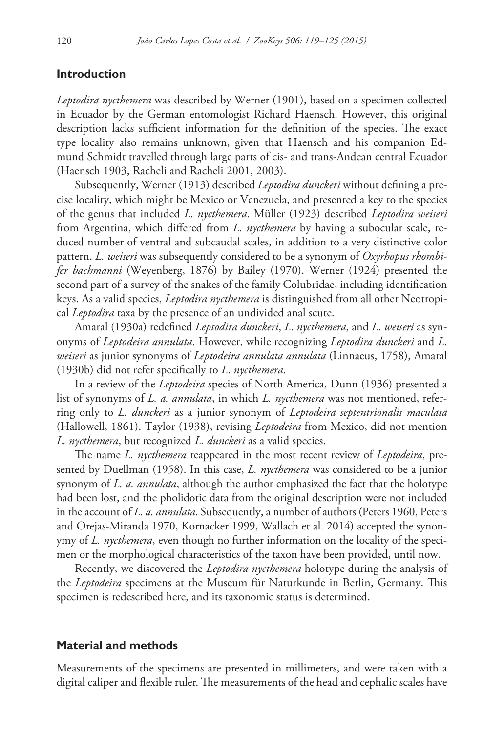#### **Introduction**

*Leptodira nycthemera* was described by Werner (1901), based on a specimen collected in Ecuador by the German entomologist Richard Haensch. However, this original description lacks sufficient information for the definition of the species. The exact type locality also remains unknown, given that Haensch and his companion Edmund Schmidt travelled through large parts of cis- and trans-Andean central Ecuador (Haensch 1903, Racheli and Racheli 2001, 2003).

Subsequently, Werner (1913) described *Leptodira dunckeri* without defining a precise locality, which might be Mexico or Venezuela, and presented a key to the species of the genus that included *L*. *nycthemera*. Müller (1923) described *Leptodira weiseri* from Argentina, which differed from *L. nycthemera* by having a subocular scale, reduced number of ventral and subcaudal scales, in addition to a very distinctive color pattern. *L. weiseri* was subsequently considered to be a synonym of *Oxyrhopus rhombifer bachmanni* (Weyenberg, 1876) by Bailey (1970). Werner (1924) presented the second part of a survey of the snakes of the family Colubridae, including identification keys. As a valid species, *Leptodira nycthemera* is distinguished from all other Neotropical *Leptodira* taxa by the presence of an undivided anal scute.

Amaral (1930a) redefined *Leptodira dunckeri*, *L*. *nycthemera*, and *L*. *weiseri* as synonyms of *Leptodeira annulata*. However, while recognizing *Leptodira dunckeri* and *L*. *weiseri* as junior synonyms of *Leptodeira annulata annulata* (Linnaeus, 1758), Amaral (1930b) did not refer specifically to *L*. *nycthemera*.

In a review of the *Leptodeira* species of North America, Dunn (1936) presented a list of synonyms of *L. a. annulata*, in which *L. nycthemera* was not mentioned, referring only to *L. dunckeri* as a junior synonym of *Leptodeira septentrionalis maculata* (Hallowell, 1861). Taylor (1938), revising *Leptodeira* from Mexico, did not mention *L. nycthemera*, but recognized *L. dunckeri* as a valid species.

The name *L. nycthemera* reappeared in the most recent review of *Leptodeira*, presented by Duellman (1958). In this case, *L. nycthemera* was considered to be a junior synonym of *L. a. annulata*, although the author emphasized the fact that the holotype had been lost, and the pholidotic data from the original description were not included in the account of *L. a. annulata*. Subsequently, a number of authors (Peters 1960, Peters and Orejas-Miranda 1970, Kornacker 1999, Wallach et al. 2014) accepted the synonymy of *L. nycthemera*, even though no further information on the locality of the specimen or the morphological characteristics of the taxon have been provided, until now.

Recently, we discovered the *Leptodira nycthemera* holotype during the analysis of the *Leptodeira* specimens at the Museum für Naturkunde in Berlin, Germany. This specimen is redescribed here, and its taxonomic status is determined.

#### **Material and methods**

Measurements of the specimens are presented in millimeters, and were taken with a digital caliper and flexible ruler. The measurements of the head and cephalic scales have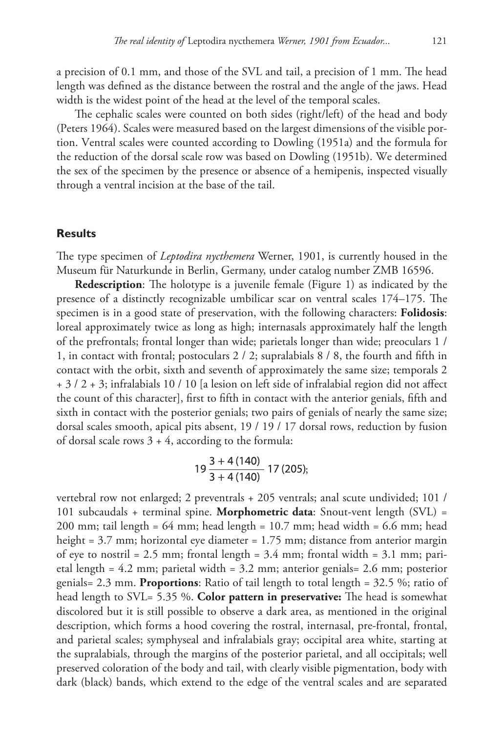a precision of 0.1 mm, and those of the SVL and tail, a precision of 1 mm. The head length was defined as the distance between the rostral and the angle of the jaws. Head width is the widest point of the head at the level of the temporal scales.

The cephalic scales were counted on both sides (right/left) of the head and body (Peters 1964). Scales were measured based on the largest dimensions of the visible portion. Ventral scales were counted according to Dowling (1951a) and the formula for the reduction of the dorsal scale row was based on Dowling (1951b). We determined the sex of the specimen by the presence or absence of a hemipenis, inspected visually through a ventral incision at the base of the tail.

## **Results**

The type specimen of *Leptodira nycthemera* Werner, 1901, is currently housed in the Museum für Naturkunde in Berlin, Germany, under catalog number ZMB 16596.

**Redescription**: The holotype is a juvenile female (Figure 1) as indicated by the presence of a distinctly recognizable umbilicar scar on ventral scales 174–175. The specimen is in a good state of preservation, with the following characters: **Folidosis**: loreal approximately twice as long as high; internasals approximately half the length of the prefrontals; frontal longer than wide; parietals longer than wide; preoculars 1 / 1, in contact with frontal; postoculars 2 / 2; supralabials 8 / 8, the fourth and fifth in contact with the orbit, sixth and seventh of approximately the same size; temporals 2 + 3 / 2 + 3; infralabials 10 / 10 [a lesion on left side of infralabial region did not affect the count of this character], first to fifth in contact with the anterior genials, fifth and sixth in contact with the posterior genials; two pairs of genials of nearly the same size; dorsal scales smooth, apical pits absent, 19 / 19 / 17 dorsal rows, reduction by fusion of dorsal scale rows  $3 + 4$ , according to the formula:

$$
19\frac{3+4(140)}{3+4(140)}
$$
 17 (205);

vertebral row not enlarged; 2 preventrals + 205 ventrals; anal scute undivided; 101 / 101 subcaudals + terminal spine. **Morphometric data**: Snout-vent length (SVL) = 200 mm; tail length = 64 mm; head length = 10.7 mm; head width = 6.6 mm; head height = 3.7 mm; horizontal eye diameter = 1.75 mm; distance from anterior margin of eye to nostril = 2.5 mm; frontal length =  $3.4$  mm; frontal width =  $3.1$  mm; parietal length = 4.2 mm; parietal width = 3.2 mm; anterior genials= 2.6 mm; posterior genials= 2.3 mm. **Proportions**: Ratio of tail length to total length = 32.5 %; ratio of head length to SVL= 5.35 %. **Color pattern in preservative:** The head is somewhat discolored but it is still possible to observe a dark area, as mentioned in the original description, which forms a hood covering the rostral, internasal, pre-frontal, frontal, and parietal scales; symphyseal and infralabials gray; occipital area white, starting at the supralabials, through the margins of the posterior parietal, and all occipitals; well preserved coloration of the body and tail, with clearly visible pigmentation, body with dark (black) bands, which extend to the edge of the ventral scales and are separated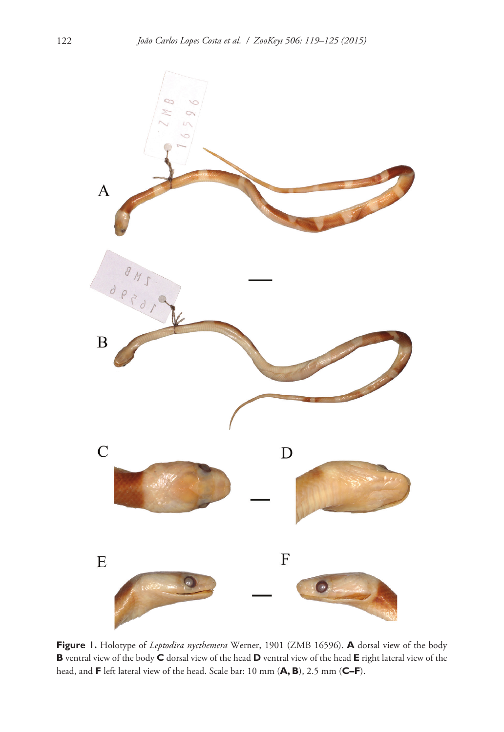

**Figure 1.** Holotype of *Leptodira nycthemera* Werner, 1901 (ZMB 16596). **A** dorsal view of the body **B** ventral view of the body **C** dorsal view of the head **D** ventral view of the head **E** right lateral view of the head, and **F** left lateral view of the head. Scale bar: 10 mm (**A, B**), 2.5 mm (**C–F**).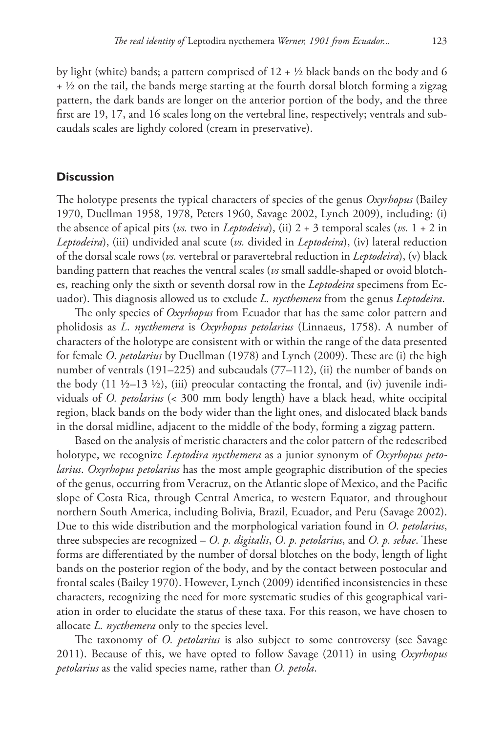by light (white) bands; a pattern comprised of  $12 + \frac{1}{2}$  black bands on the body and 6  $+$  ½ on the tail, the bands merge starting at the fourth dorsal blotch forming a zigzag pattern, the dark bands are longer on the anterior portion of the body, and the three first are 19, 17, and 16 scales long on the vertebral line, respectively; ventrals and subcaudals scales are lightly colored (cream in preservative).

## **Discussion**

The holotype presents the typical characters of species of the genus *Oxyrhopus* (Bailey 1970, Duellman 1958, 1978, Peters 1960, Savage 2002, Lynch 2009), including: (i) the absence of apical pits (*vs.* two in *Leptodeira*), (ii)  $2 + 3$  temporal scales (*vs.*  $1 + 2$  in *Leptodeira*), (iii) undivided anal scute (*vs.* divided in *Leptodeira*), (iv) lateral reduction of the dorsal scale rows (*vs.* vertebral or paravertebral reduction in *Leptodeira*), (v) black banding pattern that reaches the ventral scales (*vs* small saddle-shaped or ovoid blotches, reaching only the sixth or seventh dorsal row in the *Leptodeira* specimens from Ecuador). This diagnosis allowed us to exclude *L. nycthemera* from the genus *Leptodeira*.

The only species of *Oxyrhopus* from Ecuador that has the same color pattern and pholidosis as *L*. *nycthemera* is *Oxyrhopus petolarius* (Linnaeus, 1758). A number of characters of the holotype are consistent with or within the range of the data presented for female *O*. *petolarius* by Duellman (1978) and Lynch (2009). These are (i) the high number of ventrals (191–225) and subcaudals (77–112), (ii) the number of bands on the body  $(11 \frac{1}{2} - 13 \frac{1}{2})$ , (iii) preocular contacting the frontal, and (iv) juvenile individuals of *O. petolarius* (< 300 mm body length) have a black head, white occipital region, black bands on the body wider than the light ones, and dislocated black bands in the dorsal midline, adjacent to the middle of the body, forming a zigzag pattern.

Based on the analysis of meristic characters and the color pattern of the redescribed holotype, we recognize *Leptodira nycthemera* as a junior synonym of *Oxyrhopus petolarius*. *Oxyrhopus petolarius* has the most ample geographic distribution of the species of the genus, occurring from Veracruz, on the Atlantic slope of Mexico, and the Pacific slope of Costa Rica, through Central America, to western Equator, and throughout northern South America, including Bolivia, Brazil, Ecuador, and Peru (Savage 2002). Due to this wide distribution and the morphological variation found in *O*. *petolarius*, three subspecies are recognized – *O. p. digitalis*, *O. p. petolarius*, and *O. p. sebae*. These forms are differentiated by the number of dorsal blotches on the body, length of light bands on the posterior region of the body, and by the contact between postocular and frontal scales (Bailey 1970). However, Lynch (2009) identified inconsistencies in these characters, recognizing the need for more systematic studies of this geographical variation in order to elucidate the status of these taxa. For this reason, we have chosen to allocate *L. nycthemera* only to the species level.

The taxonomy of *O. petolarius* is also subject to some controversy (see Savage 2011). Because of this, we have opted to follow Savage (2011) in using *Oxyrhopus petolarius* as the valid species name, rather than *O. petola*.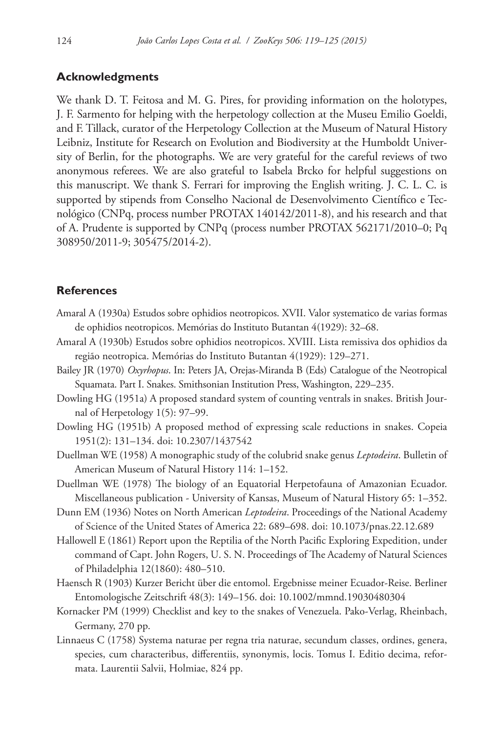# **Acknowledgments**

We thank D. T. Feitosa and M. G. Pires, for providing information on the holotypes, J. F. Sarmento for helping with the herpetology collection at the Museu Emilio Goeldi, and F. Tillack, curator of the Herpetology Collection at the Museum of Natural History Leibniz, Institute for Research on Evolution and Biodiversity at the Humboldt University of Berlin, for the photographs. We are very grateful for the careful reviews of two anonymous referees. We are also grateful to Isabela Brcko for helpful suggestions on this manuscript. We thank S. Ferrari for improving the English writing. J. C. L. C. is supported by stipends from Conselho Nacional de Desenvolvimento Científico e Tecnológico (CNPq, process number PROTAX 140142/2011-8), and his research and that of A. Prudente is supported by CNPq (process number PROTAX 562171/2010–0; Pq 308950/2011-9; 305475/2014-2).

## **References**

- Amaral A (1930a) Estudos sobre ophidios neotropicos. XVII. Valor systematico de varias formas de ophidios neotropicos. Memórias do Instituto Butantan 4(1929): 32–68.
- Amaral A (1930b) Estudos sobre ophidios neotropicos. XVIII. Lista remissiva dos ophidios da região neotropica. Memórias do Instituto Butantan 4(1929): 129–271.
- Bailey JR (1970) *Oxyrhopus*. In: Peters JA, Orejas-Miranda B (Eds) Catalogue of the Neotropical Squamata. Part I. Snakes. Smithsonian Institution Press, Washington, 229–235.
- Dowling HG (1951a) A proposed standard system of counting ventrals in snakes. British Journal of Herpetology 1(5): 97–99.
- Dowling HG (1951b) A proposed method of expressing scale reductions in snakes. Copeia 1951(2): 131–134. [doi: 10.2307/1437542](http://dx.doi.org/10.2307/1437542)
- Duellman WE (1958) A monographic study of the colubrid snake genus *Leptodeira*. Bulletin of American Museum of Natural History 114: 1–152.
- Duellman WE (1978) The biology of an Equatorial Herpetofauna of Amazonian Ecuador. Miscellaneous publication - University of Kansas, Museum of Natural History 65: 1–352.
- Dunn EM (1936) Notes on North American *Leptodeira*. Proceedings of the National Academy of Science of the United States of America 22: 689–698. [doi: 10.1073/pnas.22.12.689](http://dx.doi.org/10.1073/pnas.22.12.689)
- Hallowell E (1861) Report upon the Reptilia of the North Pacific Exploring Expedition, under command of Capt. John Rogers, U. S. N. Proceedings of The Academy of Natural Sciences of Philadelphia 12(1860): 480–510.
- Haensch R (1903) Kurzer Bericht über die entomol. Ergebnisse meiner Ecuador-Reise. Berliner Entomologische Zeitschrift 48(3): 149–156. [doi: 10.1002/mmnd.19030480304](http://dx.doi.org/10.1002/mmnd.19030480304)
- Kornacker PM (1999) Checklist and key to the snakes of Venezuela. Pako-Verlag, Rheinbach, Germany, 270 pp.
- Linnaeus C (1758) Systema naturae per regna tria naturae, secundum classes, ordines, genera, species, cum characteribus, differentiis, synonymis, locis. Tomus I. Editio decima, reformata. Laurentii Salvii, Holmiae, 824 pp.